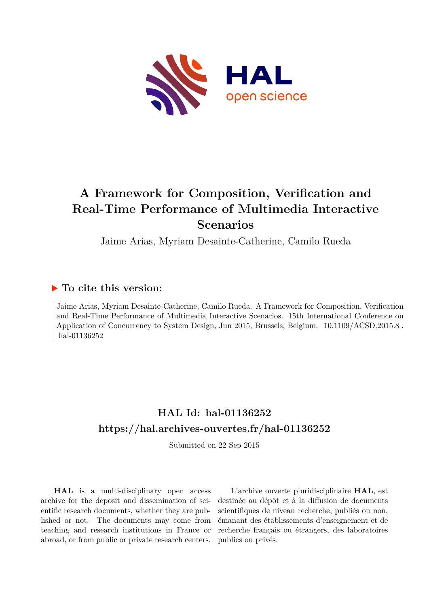

# **A Framework for Composition, Verification and Real-Time Performance of Multimedia Interactive Scenarios**

Jaime Arias, Myriam Desainte-Catherine, Camilo Rueda

## **To cite this version:**

Jaime Arias, Myriam Desainte-Catherine, Camilo Rueda. A Framework for Composition, Verification and Real-Time Performance of Multimedia Interactive Scenarios. 15th International Conference on Application of Concurrency to System Design, Jun 2015, Brussels, Belgium.  $10.1109/ACSD.2015.8$ . hal-01136252

## **HAL Id: hal-01136252 <https://hal.archives-ouvertes.fr/hal-01136252>**

Submitted on 22 Sep 2015

**HAL** is a multi-disciplinary open access archive for the deposit and dissemination of scientific research documents, whether they are published or not. The documents may come from teaching and research institutions in France or abroad, or from public or private research centers.

L'archive ouverte pluridisciplinaire **HAL**, est destinée au dépôt et à la diffusion de documents scientifiques de niveau recherche, publiés ou non, émanant des établissements d'enseignement et de recherche français ou étrangers, des laboratoires publics ou privés.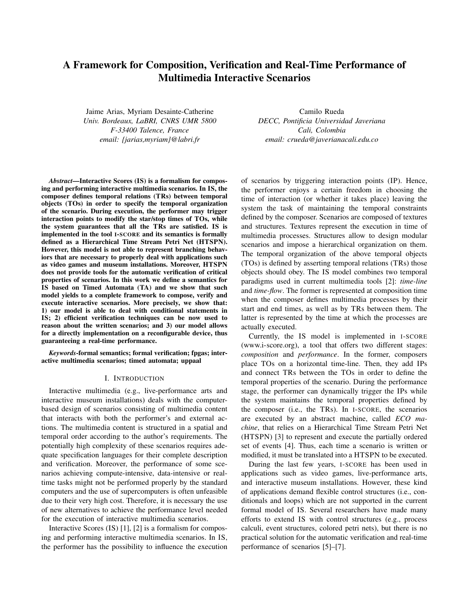### A Framework for Composition, Verification and Real-Time Performance of Multimedia Interactive Scenarios

Jaime Arias, Myriam Desainte-Catherine *Univ. Bordeaux, LaBRI, CNRS UMR 5800 F-33400 Talence, France email: {jarias,myriam}@labri.fr*

Camilo Rueda *DECC, Pontificia Universidad Javeriana Cali, Colombia email: crueda@javerianacali.edu.co*

*Abstract*—Interactive Scores (IS) is a formalism for composing and performing interactive multimedia scenarios. In IS, the composer defines temporal relations (TRs) between temporal objects (TOs) in order to specify the temporal organization of the scenario. During execution, the performer may trigger interaction points to modify the star/stop times of TOs, while the system guarantees that all the TRs are satisfied. IS is implemented in the tool I-SCORE and its semantics is formally defined as a Hierarchical Time Stream Petri Net (HTSPN). However, this model is not able to represent branching behaviors that are necessary to properly deal with applications such as video games and museum installations. Moreover, HTSPN does not provide tools for the automatic verification of critical properties of scenarios. In this work we define a semantics for IS based on Timed Automata (TA) and we show that such model yields to a complete framework to compose, verify and execute interactive scenarios. More precisely, we show that: 1) our model is able to deal with conditional statements in IS; 2) efficient verification techniques can be now used to reason about the written scenarios; and 3) our model allows for a directly implementation on a reconfigurable device, thus guaranteeing a real-time performance.

*Keywords*-formal semantics; formal verification; fpgas; interactive multimedia scenarios; timed automata; uppaal

#### I. INTRODUCTION

Interactive multimedia (e.g., live-performance arts and interactive museum installations) deals with the computerbased design of scenarios consisting of multimedia content that interacts with both the performer's and external actions. The multimedia content is structured in a spatial and temporal order according to the author's requirements. The potentially high complexity of these scenarios requires adequate specification languages for their complete description and verification. Moreover, the performance of some scenarios achieving compute-intensive, data-intensive or realtime tasks might not be performed properly by the standard computers and the use of supercomputers is often unfeasible due to their very high cost. Therefore, it is necessary the use of new alternatives to achieve the performance level needed for the execution of interactive multimedia scenarios.

Interactive Scores (IS) [1], [2] is a formalism for composing and performing interactive multimedia scenarios. In IS, the performer has the possibility to influence the execution of scenarios by triggering interaction points (IP). Hence, the performer enjoys a certain freedom in choosing the time of interaction (or whether it takes place) leaving the system the task of maintaining the temporal constraints defined by the composer. Scenarios are composed of textures and structures. Textures represent the execution in time of multimedia processes. Structures allow to design modular scenarios and impose a hierarchical organization on them. The temporal organization of the above temporal objects (TOs) is defined by asserting temporal relations (TRs) those objects should obey. The IS model combines two temporal paradigms used in current multimedia tools [2]: *time-line* and *time-flow*. The former is represented at composition time when the composer defines multimedia processes by their start and end times, as well as by TRs between them. The latter is represented by the time at which the processes are actually executed.

Currently, the IS model is implemented in I-SCORE (www.i-score.org), a tool that offers two different stages: *composition* and *performance*. In the former, composers place TOs on a horizontal time-line. Then, they add IPs and connect TRs between the TOs in order to define the temporal properties of the scenario. During the performance stage, the performer can dynamically trigger the IPs while the system maintains the temporal properties defined by the composer (i.e., the TRs). In I-SCORE, the scenarios are executed by an abstract machine, called *ECO machine*, that relies on a Hierarchical Time Stream Petri Net (HTSPN) [3] to represent and execute the partially ordered set of events [4]. Thus, each time a scenario is written or modified, it must be translated into a HTSPN to be executed.

During the last few years, I-SCORE has been used in applications such as video games, live-performance arts, and interactive museum installations. However, these kind of applications demand flexible control structures (i.e., conditionals and loops) which are not supported in the current formal model of IS. Several researchers have made many efforts to extend IS with control structures (e.g., process calculi, event structures, colored petri nets), but there is no practical solution for the automatic verification and real-time performance of scenarios [5]–[7].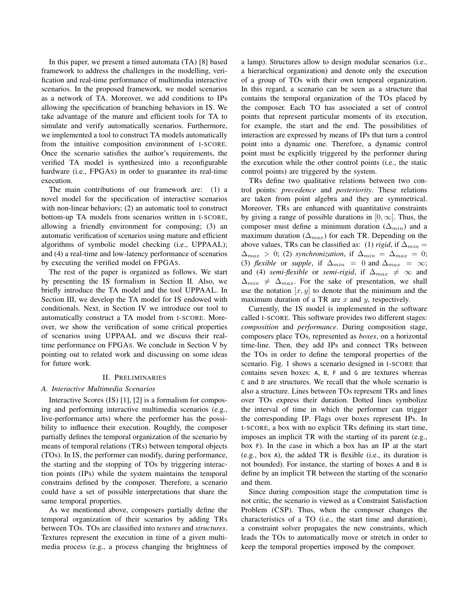In this paper, we present a timed automata (TA) [8] based framework to address the challenges in the modelling, verification and real-time performance of multimedia interactive scenarios. In the proposed framework, we model scenarios as a network of TA. Moreover, we add conditions to IPs allowing the specification of branching behaviors in IS. We take advantage of the mature and efficient tools for TA to simulate and verify automatically scenarios. Furthermore, we implemented a tool to construct TA models automatically from the intuitive composition environment of I-SCORE. Once the scenario satisfies the author's requirements, the verified TA model is synthesized into a reconfigurable hardware (i.e., FPGAS) in order to guarantee its real-time execution.

The main contributions of our framework are: (1) a novel model for the specification of interactive scenarios with non-linear behaviors; (2) an automatic tool to construct bottom-up TA models from scenarios written in I-SCORE, allowing a friendly environment for composing; (3) an automatic verification of scenarios using mature and efficient algorithms of symbolic model checking (i.e., UPPAAL); and (4) a real-time and low-latency performance of scenarios by executing the verified model on FPGAS.

The rest of the paper is organized as follows. We start by presenting the IS formalism in Section II. Also, we briefly introduce the TA model and the tool UPPAAL. In Section III, we develop the TA model for IS endowed with conditionals. Next, in Section IV we introduce our tool to automatically construct a TA model from I-SCORE. Moreover, we show the verification of some critical properties of scenarios using UPPAAL and we discuss their realtime performance on FPGAS. We conclude in Section V by pointing out to related work and discussing on some ideas for future work.

#### II. PRELIMINARIES

#### *A. Interactive Multimedia Scenarios*

Interactive Scores (IS) [1], [2] is a formalism for composing and performing interactive multimedia scenarios (e.g., live-performance arts) where the performer has the possibility to influence their execution. Roughly, the composer partially defines the temporal organization of the scenario by means of temporal relations (TRs) between temporal objects (TOs). In IS, the performer can modify, during performance, the starting and the stopping of TOs by triggering interaction points (IPs) while the system maintains the temporal constrains defined by the composer. Therefore, a scenario could have a set of possible interpretations that share the same temporal properties.

As we mentioned above, composers partially define the temporal organization of their scenarios by adding TRs between TOs. TOs are classified into *textures* and *structures*. Textures represent the execution in time of a given multimedia process (e.g., a process changing the brightness of a lamp). Structures allow to design modular scenarios (i.e., a hierarchical organization) and denote only the execution of a group of TOs with their own temporal organization. In this regard, a scenario can be seen as a structure that contains the temporal organization of the TOs placed by the composer. Each TO has associated a set of control points that represent particular moments of its execution, for example, the start and the end. The possibilities of interaction are expressed by means of IPs that turn a control point into a dynamic one. Therefore, a dynamic control point must be explicitly triggered by the performer during the execution while the other control points (i.e., the static control points) are triggered by the system.

TRs define two qualitative relations between two control points: *precedence* and *posteriority*. These relations are taken from point algebra and they are symmetrical. Moreover, TRs are enhanced with quantitative constraints by giving a range of possible durations in  $[0, \infty]$ . Thus, the composer must define a minimum duration ( $\Delta_{min}$ ) and a maximum duration ( $\Delta_{max}$ ) for each TR. Depending on the above values, TRs can be classified as: (1) *rigid*, if  $\Delta_{min}$  =  $\Delta_{max} > 0$ ; (2) *synchronization*, if  $\Delta_{min} = \Delta_{max} = 0$ ; (3) *flexible* or *supple*, if  $\Delta_{min} = 0$  and  $\Delta_{max} = \infty$ ; and (4) *semi-flexible* or *semi-rigid*, if  $\Delta_{max} \neq \infty$  and  $\Delta_{min} \neq \Delta_{max}$ . For the sake of presentation, we shall use the notation  $[x, y]$  to denote that the minimum and the maximum duration of a TR are  $x$  and  $y$ , respectively.

Currently, the IS model is implemented in the software called I-SCORE. This software provides two different stages: *composition* and *performance*. During composition stage, composers place TOs, represented as *boxes*, on a horizontal time-line. Then, they add IPs and connect TRs between the TOs in order to define the temporal properties of the scenario. Fig. 1 shows a scenario designed in I-SCORE that contains seven boxes: A, B, F and G are textures whereas C and D are structures. We recall that the whole scenario is also a structure. Lines between TOs represent TRs and lines over TOs express their duration. Dotted lines symbolize the interval of time in which the performer can trigger the corresponding IP. Flags over boxes represent IPs. In I-SCORE, a box with no explicit TRs defining its start time, imposes an implicit TR with the starting of its parent (e.g., box F). In the case in which a box has an IP at the start (e.g., box A), the added TR is flexible (i.e., its duration is not bounded). For instance, the starting of boxes A and B is define by an implicit TR between the starting of the scenario and them.

Since during composition stage the computation time is not critic, the scenario is viewed as a Constraint Satisfaction Problem (CSP). Thus, when the composer changes the characteristics of a TO (i.e., the start time and duration), a constraint solver propagates the new constraints, which leads the TOs to automatically move or stretch in order to keep the temporal properties imposed by the composer.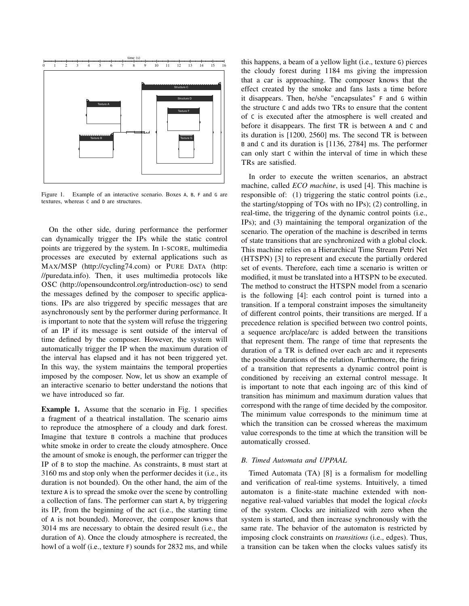

Figure 1. Example of an interactive scenario. Boxes A, B, F and G are textures, whereas C and D are structures.

On the other side, during performance the performer can dynamically trigger the IPs while the static control points are triggered by the system. In I-SCORE, multimedia processes are executed by external applications such as MAX/MSP (http://cycling74.com) or PURE DATA (http: //puredata.info). Then, it uses multimedia protocols like OSC (http://opensoundcontrol.org/introduction-osc) to send the messages defined by the composer to specific applications. IPs are also triggered by specific messages that are asynchronously sent by the performer during performance. It is important to note that the system will refuse the triggering of an IP if its message is sent outside of the interval of time defined by the composer. However, the system will automatically trigger the IP when the maximum duration of the interval has elapsed and it has not been triggered yet. In this way, the system maintains the temporal properties imposed by the composer. Now, let us show an example of an interactive scenario to better understand the notions that we have introduced so far.

Example 1. Assume that the scenario in Fig. 1 specifies a fragment of a theatrical installation. The scenario aims to reproduce the atmosphere of a cloudy and dark forest. Imagine that texture B controls a machine that produces white smoke in order to create the cloudy atmosphere. Once the amount of smoke is enough, the performer can trigger the IP of B to stop the machine. As constraints, B must start at 3160 ms and stop only when the performer decides it (i.e., its duration is not bounded). On the other hand, the aim of the texture A is to spread the smoke over the scene by controlling a collection of fans. The performer can start A, by triggering its IP, from the beginning of the act (i.e., the starting time of A is not bounded). Moreover, the composer knows that 3014 ms are necessary to obtain the desired result (i.e., the duration of A). Once the cloudy atmosphere is recreated, the howl of a wolf (i.e., texture F) sounds for 2832 ms, and while this happens, a beam of a yellow light (i.e., texture G) pierces the cloudy forest during 1184 ms giving the impression that a car is approaching. The composer knows that the effect created by the smoke and fans lasts a time before it disappears. Then, he/she "encapsulates" F and G within the structure C and adds two TRs to ensure that the content of C is executed after the atmosphere is well created and before it disappears. The first TR is between A and C and its duration is [1200, 2560] ms. The second TR is between B and C and its duration is [1136, 2784] ms. The performer can only start C within the interval of time in which these TRs are satisfied.

In order to execute the written scenarios, an abstract machine, called *ECO machine*, is used [4]. This machine is responsible of: (1) triggering the static control points (i.e., the starting/stopping of TOs with no IPs); (2) controlling, in real-time, the triggering of the dynamic control points (i.e., IPs); and (3) maintaining the temporal organization of the scenario. The operation of the machine is described in terms of state transitions that are synchronized with a global clock. This machine relies on a Hierarchical Time Stream Petri Net (HTSPN) [3] to represent and execute the partially ordered set of events. Therefore, each time a scenario is written or modified, it must be translated into a HTSPN to be executed. The method to construct the HTSPN model from a scenario is the following [4]: each control point is turned into a transition. If a temporal constraint imposes the simultaneity of different control points, their transitions are merged. If a precedence relation is specified between two control points, a sequence arc/place/arc is added between the transitions that represent them. The range of time that represents the duration of a TR is defined over each arc and it represents the possible durations of the relation. Furthermore, the firing of a transition that represents a dynamic control point is conditioned by receiving an external control message. It is important to note that each ingoing arc of this kind of transition has minimum and maximum duration values that correspond with the range of time decided by the compositor. The minimum value corresponds to the minimum time at which the transition can be crossed whereas the maximum value corresponds to the time at which the transition will be automatically crossed.

#### *B. Timed Automata and UPPAAL*

Timed Automata (TA) [8] is a formalism for modelling and verification of real-time systems. Intuitively, a timed automaton is a finite-state machine extended with nonnegative real-valued variables that model the logical *clocks* of the system. Clocks are initialized with zero when the system is started, and then increase synchronously with the same rate. The behavior of the automaton is restricted by imposing clock constraints on *transitions* (i.e., edges). Thus, a transition can be taken when the clocks values satisfy its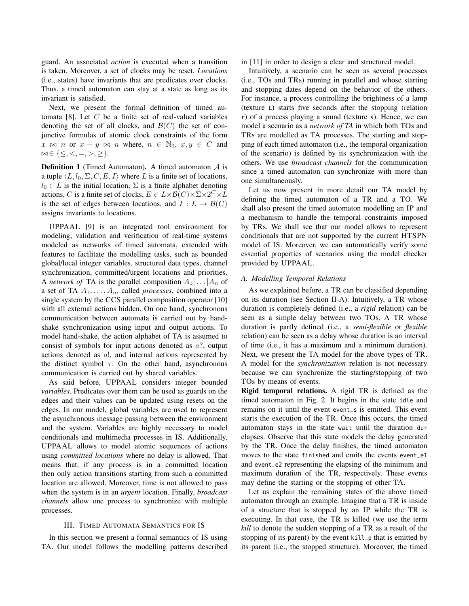guard. An associated *action* is executed when a transition is taken. Moreover, a set of clocks may be reset. *Locations* (i.e., states) have invariants that are predicates over clocks. Thus, a timed automaton can stay at a state as long as its invariant is satisfied.

Next, we present the formal definition of timed automata  $[8]$ . Let C be a finite set of real-valued variables denoting the set of all clocks, and  $\mathcal{B}(C)$  the set of conjunctive formulas of atomic clock constraints of the form  $x \bowtie n$  or  $x - y \bowtie n$  where,  $n \in \mathbb{N}_0$ ,  $x, y \in C$  and  $\bowtie \in \{<, <, =, >, >\}.$ 

**Definition 1** (Timed Automaton). A timed automaton  $A$  is a tuple  $\langle L, l_0, \Sigma, C, E, I \rangle$  where L is a finite set of locations,  $l_0 \in L$  is the initial location,  $\Sigma$  is a finite alphabet denoting actions, C is a finite set of clocks,  $E \in L \times \mathcal{B}(C) \times \Sigma \times 2^C \times L$ is the set of edges between locations, and  $I: L \rightarrow \mathcal{B}(C)$ assigns invariants to locations.

UPPAAL [9] is an integrated tool environment for modeling, validation and verification of real-time systems modeled as networks of timed automata, extended with features to facilitate the modelling tasks, such as bounded global/local integer variables, structured data types, channel synchronization, committed/urgent locations and priorities. A *network of* TA is the parallel composition  $A_1 | \dots | A_n$  of a set of TA  $A_1, \ldots, A_n$ , called *processes*, combined into a single system by the CCS parallel composition operator [10] with all external actions hidden. On one hand, synchronous communication between automata is carried out by handshake synchronization using input and output actions. To model hand-shake, the action alphabet of TA is assumed to consist of symbols for input actions denoted as a?, output actions denoted as a!, and internal actions represented by the distinct symbol  $\tau$ . On the other hand, asynchronous communication is carried out by shared variables.

As said before, UPPAAL considers integer bounded *variables*. Predicates over them can be used as guards on the edges and their values can be updated using resets on the edges. In our model, global variables are used to represent the asynchronous message passing between the environment and the system. Variables are highly necessary to model conditionals and multimedia processes in IS. Additionally, UPPAAL allows to model atomic sequences of actions using *committed locations* where no delay is allowed. That means that, if any process is in a committed location then only action transitions starting from such a committed location are allowed. Moreover, time is not allowed to pass when the system is in an *urgent* location. Finally, *broadcast channels* allow one process to synchronize with multiple processes.

#### III. TIMED AUTOMATA SEMANTICS FOR IS

In this section we present a formal semantics of IS using TA. Our model follows the modelling patterns described in [11] in order to design a clear and structured model.

Intuitively, a scenario can be seen as several processes (i.e., TOs and TRs) running in parallel and whose starting and stopping dates depend on the behavior of the others. For instance, a process controlling the brightness of a lamp (texture L) starts five seconds after the stopping (relation r) of a process playing a sound (texture s). Hence, we can model a scenario as a *network of TA* in which both TOs and TRs are modelled as TA processes. The starting and stopping of each timed automaton (i.e., the temporal organization of the scenario) is defined by its synchronization with the others. We use *broadcast channels* for the communication since a timed automaton can synchronize with more than one simultaneously.

Let us now present in more detail our TA model by defining the timed automaton of a TR and a TO. We shall also present the timed automaton modelling an IP and a mechanism to handle the temporal constraints imposed by TRs. We shall see that our model allows to represent conditionals that are not supported by the current HTSPN model of IS. Moreover, we can automatically verify some essential properties of scenarios using the model checker provided by UPPAAL.

#### *A. Modelling Temporal Relations*

As we explained before, a TR can be classified depending on its duration (see Section II-A). Intuitively, a TR whose duration is completely defined (i.e., a *rigid* relation) can be seen as a simple delay between two TOs. A TR whose duration is partly defined (i.e., a *semi-flexible* or *flexible* relation) can be seen as a delay whose duration is an interval of time (i.e., it has a maximum and a minimum duration). Next, we present the TA model for the above types of TR. A model for the *synchronization* relation is not necessary because we can synchronize the starting/stopping of two TOs by means of events.

Rigid temporal relations. A rigid TR is defined as the timed automaton in Fig. 2. It begins in the state idle and remains on it until the event event\_s is emitted. This event starts the execution of the TR. Once this occurs, the timed automaton stays in the state wait until the duration dur elapses. Observe that this state models the delay generated by the TR. Once the delay finishes, the timed automaton moves to the state finished and emits the events event\_e1 and event\_e2 representing the elapsing of the minimum and maximum duration of the TR, respectively. These events may define the starting or the stopping of other TA.

Let us explain the remaining states of the above timed automaton through an example. Imagine that a TR is inside of a structure that is stopped by an IP while the TR is executing. In that case, the TR is killed (we use the term *kill* to denote the sudden stopping of a TR as a result of the stopping of its parent) by the event kill\_p that is emitted by its parent (i.e., the stopped structure). Moreover, the timed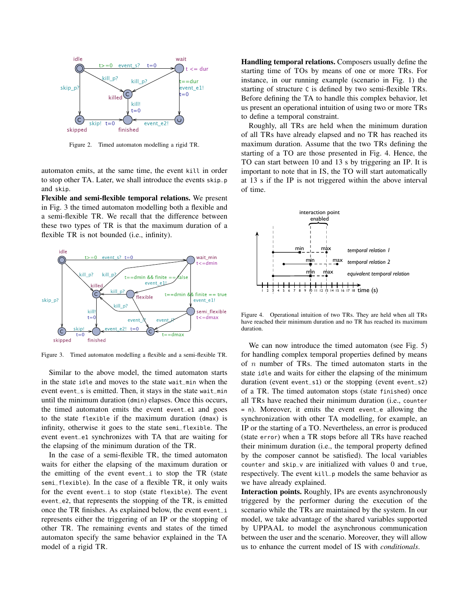

Figure 2. Timed automaton modelling a rigid TR.

automaton emits, at the same time, the event kill in order to stop other TA. Later, we shall introduce the events skip\_p and skip.

Flexible and semi-flexible temporal relations. We present in Fig. 3 the timed automaton modelling both a flexible and a semi-flexible TR. We recall that the difference between these two types of TR is that the maximum duration of a flexible TR is not bounded (i.e., infinity).



Figure 3. Timed automaton modelling a flexible and a semi-flexible TR.

Similar to the above model, the timed automaton starts in the state idle and moves to the state wait\_min when the event event\_s is emitted. Then, it stays in the state wait\_min until the minimum duration (dmin) elapses. Once this occurs, the timed automaton emits the event event\_e1 and goes to the state flexible if the maximum duration (dmax) is infinity, otherwise it goes to the state semi\_flexible. The event event\_e1 synchronizes with TA that are waiting for the elapsing of the minimum duration of the TR.

In the case of a semi-flexible TR, the timed automaton waits for either the elapsing of the maximum duration or the emitting of the event event\_i to stop the TR (state semi\_flexible). In the case of a flexible TR, it only waits for the event event\_i to stop (state flexible). The event event\_e2, that represents the stopping of the TR, is emitted once the TR finishes. As explained below, the event event\_i represents either the triggering of an IP or the stopping of other TR. The remaining events and states of the timed automaton specify the same behavior explained in the TA model of a rigid TR.

Handling temporal relations. Composers usually define the starting time of TOs by means of one or more TRs. For instance, in our running example (scenario in Fig. 1) the starting of structure C is defined by two semi-flexible TRs. Before defining the TA to handle this complex behavior, let us present an operational intuition of using two or more TRs to define a temporal constraint.

Roughly, all TRs are held when the minimum duration of all TRs have already elapsed and no TR has reached its maximum duration. Assume that the two TRs defining the starting of a TO are those presented in Fig. 4. Hence, the TO can start between 10 and 13 s by triggering an IP. It is important to note that in IS, the TO will start automatically at 13 s if the IP is not triggered within the above interval of time.



Figure 4. Operational intuition of two TRs. They are held when all TRs have reached their minimum duration and no TR has reached its maximum duration.

We can now introduce the timed automaton (see Fig. 5) for handling complex temporal properties defined by means of  $n$  number of TRs. The timed automaton starts in the state idle and waits for either the elapsing of the minimum duration (event event\_s1) or the stopping (event event\_s2) of a TR. The timed automaton stops (state finished) once all TRs have reached their minimum duration (i.e., counter = n). Moreover, it emits the event event\_e allowing the synchronization with other TA modelling, for example, an IP or the starting of a TO. Nevertheless, an error is produced (state error) when a TR stops before all TRs have reached their minimum duration (i.e., the temporal property defined by the composer cannot be satisfied). The local variables counter and skip\_v are initialized with values 0 and true, respectively. The event kill\_p models the same behavior as we have already explained.

Interaction points. Roughly, IPs are events asynchronously triggered by the performer during the execution of the scenario while the TRs are maintained by the system. In our model, we take advantage of the shared variables supported by UPPAAL to model the asynchronous communication between the user and the scenario. Moreover, they will allow us to enhance the current model of IS with *conditionals*.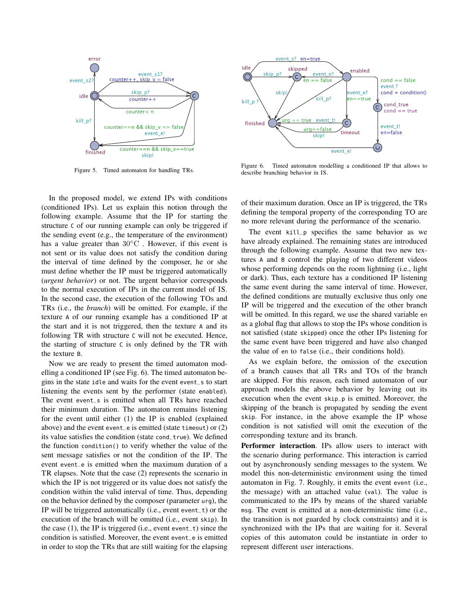

Figure 5. Timed automaton for handling TRs.

In the proposed model, we extend IPs with conditions (conditioned IPs). Let us explain this notion through the following example. Assume that the IP for starting the structure C of our running example can only be triggered if the sending event (e.g., the temperature of the environment) has a value greater than  $30^{\circ}$ C. However, if this event is not sent or its value does not satisfy the condition during the interval of time defined by the composer, he or she must define whether the IP must be triggered automatically (*urgent behavior*) or not. The urgent behavior corresponds to the normal execution of IPs in the current model of IS. In the second case, the execution of the following TOs and TRs (i.e., the *branch*) will be omitted. For example, if the texture A of our running example has a conditioned IP at the start and it is not triggered, then the texture A and its following TR with structure C will not be executed. Hence, the starting of structure C is only defined by the TR with the texture B.

Now we are ready to present the timed automaton modelling a conditioned IP (see Fig. 6). The timed automaton begins in the state idle and waits for the event event\_s to start listening the events sent by the performer (state enabled). The event event\_s is emitted when all TRs have reached their minimum duration. The automaton remains listening for the event until either (1) the IP is enabled (explained above) and the event event\_e is emitted (state timeout) or (2) its value satisfies the condition (state cond\_true). We defined the function condition() to verify whether the value of the sent message satisfies or not the condition of the IP. The event event\_e is emitted when the maximum duration of a TR elapses. Note that the case (2) represents the scenario in which the IP is not triggered or its value does not satisfy the condition within the valid interval of time. Thus, depending on the behavior defined by the composer (parameter urg), the IP will be triggered automatically (i.e., event event\_t) or the execution of the branch will be omitted (i.e., event skip). In the case  $(1)$ , the IP is triggered  $(i.e., event event_t)$  since the condition is satisfied. Moreover, the event event\_e is emitted in order to stop the TRs that are still waiting for the elapsing



Figure 6. Timed automaton modelling a conditioned IP that allows to describe branching behavior in IS.

of their maximum duration. Once an IP is triggered, the TRs defining the temporal property of the corresponding TO are no more relevant during the performance of the scenario.

The event kill\_p specifies the same behavior as we have already explained. The remaining states are introduced through the following example. Assume that two new textures A and B control the playing of two different videos whose performing depends on the room lightning (i.e., light or dark). Thus, each texture has a conditioned IP listening the same event during the same interval of time. However, the defined conditions are mutually exclusive thus only one IP will be triggered and the execution of the other branch will be omitted. In this regard, we use the shared variable en as a global flag that allows to stop the IPs whose condition is not satisfied (state skipped) once the other IPs listening for the same event have been triggered and have also changed the value of en to false (i.e., their conditions hold).

As we explain before, the omission of the execution of a branch causes that all TRs and TOs of the branch are skipped. For this reason, each timed automaton of our approach models the above behavior by leaving out its execution when the event skip\_p is emitted. Moreover, the skipping of the branch is propagated by sending the event skip. For instance, in the above example the IP whose condition is not satisfied will omit the execution of the corresponding texture and its branch.

Performer interaction. IPs allow users to interact with the scenario during performance. This interaction is carried out by asynchronously sending messages to the system. We model this non-deterministic environment using the timed automaton in Fig. 7. Roughly, it emits the event event (i.e., the message) with an attached value (val). The value is communicated to the IPs by means of the shared variable msg. The event is emitted at a non-deterministic time (i.e., the transition is not guarded by clock constraints) and it is synchronized with the IPs that are waiting for it. Several copies of this automaton could be instantiate in order to represent different user interactions.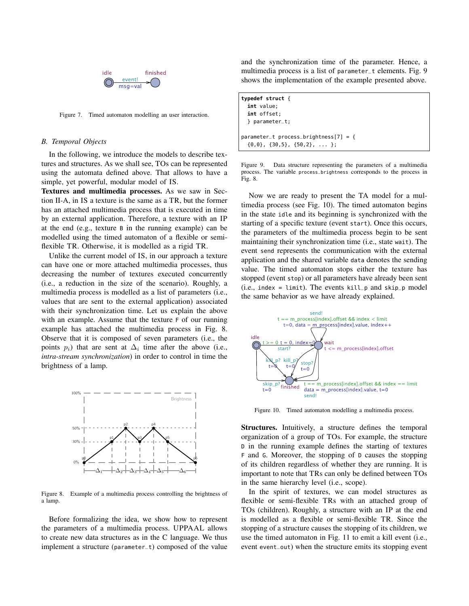

Figure 7. Timed automaton modelling an user interaction.

#### *B. Temporal Objects*

In the following, we introduce the models to describe textures and structures. As we shall see, TOs can be represented using the automata defined above. That allows to have a simple, yet powerful, modular model of IS.

Textures and multimedia processes. As we saw in Section II-A, in IS a texture is the same as a TR, but the former has an attached multimedia process that is executed in time by an external application. Therefore, a texture with an IP at the end (e.g., texture B in the running example) can be modelled using the timed automaton of a flexible or semiflexible TR. Otherwise, it is modelled as a rigid TR.

Unlike the current model of IS, in our approach a texture can have one or more attached multimedia processes, thus decreasing the number of textures executed concurrently (i.e., a reduction in the size of the scenario). Roughly, a multimedia process is modelled as a list of parameters (i.e., values that are sent to the external application) associated with their synchronization time. Let us explain the above with an example. Assume that the texture F of our running example has attached the multimedia process in Fig. 8. Observe that it is composed of seven parameters (i.e., the points  $p_i$ ) that are sent at  $\Delta_i$  time after the above (i.e., *intra-stream synchronization*) in order to control in time the brightness of a lamp.



Figure 8. Example of a multimedia process controlling the brightness of a lamp.

Before formalizing the idea, we show how to represent the parameters of a multimedia process. UPPAAL allows to create new data structures as in the C language. We thus implement a structure (parameter\_t) composed of the value and the synchronization time of the parameter. Hence, a multimedia process is a list of parameter\_t elements. Fig. 9 shows the implementation of the example presented above.

| typedef struct {                                                                      |
|---------------------------------------------------------------------------------------|
| int value;                                                                            |
| int offset;                                                                           |
| } parameter_t;                                                                        |
| $parameter_t process_brightness[7] = \{$<br>$\{0,0\}$ , $\{30,5\}$ , $\{50,2\}$ ,  }; |

Figure 9. Data structure representing the parameters of a multimedia process. The variable process\_brightness corresponds to the process in Fig. 8.

Now we are ready to present the TA model for a multimedia process (see Fig. 10). The timed automaton begins in the state idle and its beginning is synchronized with the starting of a specific texture (event start). Once this occurs, the parameters of the multimedia process begin to be sent maintaining their synchronization time (i.e., state wait). The event send represents the communication with the external application and the shared variable data denotes the sending value. The timed automaton stops either the texture has stopped (event stop) or all parameters have already been sent (i.e., index = limit). The events  $kill_p$  and  $skip_p$  model the same behavior as we have already explained.



Figure 10. Timed automaton modelling a multimedia process.

Structures. Intuitively, a structure defines the temporal organization of a group of TOs. For example, the structure D in the running example defines the starting of textures F and G. Moreover, the stopping of D causes the stopping of its children regardless of whether they are running. It is important to note that TRs can only be defined between TOs in the same hierarchy level (i.e., scope).

In the spirit of textures, we can model structures as flexible or semi-flexible TRs with an attached group of TOs (children). Roughly, a structure with an IP at the end is modelled as a flexible or semi-flexible TR. Since the stopping of a structure causes the stopping of its children, we use the timed automaton in Fig. 11 to emit a kill event (i.e., event event\_out) when the structure emits its stopping event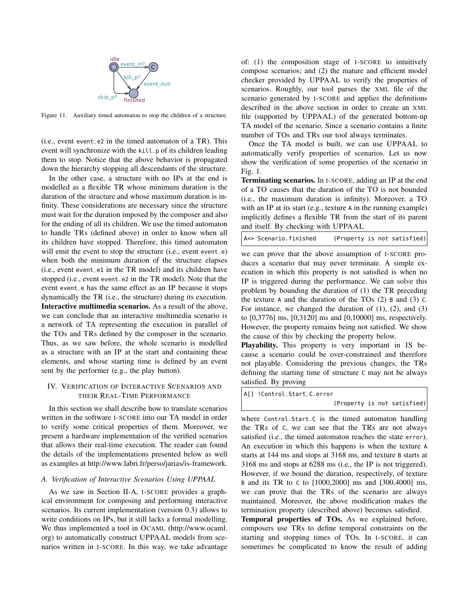

Figure 11. Auxiliary timed automaton to stop the children of a structure.

(i.e., event event\_e2 in the timed automaton of a TR). This event will synchronize with the kill\_p of its children leading them to stop. Notice that the above behavior is propagated down the hierarchy stopping all descendants of the structure.

In the other case, a structure with no IPs at the end is modelled as a flexible TR whose minimum duration is the duration of the structure and whose maximum duration is infinity. These considerations are necessary since the structure must wait for the duration imposed by the composer and also for the ending of all its children. We use the timed automaton to handle TRs (defined above) in order to know when all its children have stopped. Therefore, this timed automaton will emit the event to stop the structure (i.e., event event\_e) when both the minimum duration of the structure elapses (i.e., event event\_e1 in the TR model) and its children have stopped (i.e., event event\_e2 in the TR model). Note that the event event\_e has the same effect as an IP because it stops dynamically the TR (i.e., the structure) during its execution. Interactive multimedia scenarios. As a result of the above, we can conclude that an interactive multimedia scenario is a network of TA representing the execution in parallel of the TOs and TRs defined by the composer in the scenario. Thus, as we saw before, the whole scenario is modelled as a structure with an IP at the start and containing these elements, and whose starting time is defined by an event sent by the performer (e.g., the play button).

#### IV. VERIFICATION OF INTERACTIVE SCENARIOS AND THEIR REAL-TIME PERFORMANCE

In this section we shall describe how to translate scenarios written in the software I-SCORE into our TA model in order to verify some critical properties of them. Moreover, we present a hardware implementation of the verified scenarios that allows their real-time execution. The reader can found the details of the implementations presented below as well as examples at http://www.labri.fr/perso/jarias/is-framework.

#### *A. Verification of Interactive Scenarios Using UPPAAL*

As we saw in Section II-A, I-SCORE provides a graphical environment for composing and performing interactive scenarios. Its current implementation (version 0.3) allows to write conditions on IPs, but it still lacks a formal modelling. We thus implemented a tool in OCAML (http://www.ocaml. org) to automatically construct UPPAAL models from scenarios written in I-SCORE. In this way, we take advantage of: (1) the composition stage of I-SCORE to intuitively compose scenarios; and (2) the mature and efficient model checker provided by UPPAAL to verify the properties of scenarios. Roughly, our tool parses the XML file of the scenario generated by I-SCORE and applies the definitions described in the above section in order to create an XML file (supported by UPPAAL) of the generated bottom-up TA model of the scenario. Since a scenario contains a finite number of TOs and TRs our tool always terminates.

Once the TA model is built, we can use UPPAAL to automatically verify properties of scenarios. Let us now show the verification of some properties of the scenario in Fig. 1.

Terminating scenarios. In I-SCORE, adding an IP at the end of a TO causes that the duration of the TO is not bounded (i.e., the maximum duration is infinity). Moreover, a TO with an IP at its start (e.g., texture A in the running example) implicitly defines a flexible TR from the start of its parent and itself. By checking with UPPAAL

| A<> Scenario.finished |  |  | (Property is not satisfied) |
|-----------------------|--|--|-----------------------------|

we can prove that the above assumption of I-SCORE produces a scenario that may never terminate. A simple execution in which this property is not satisfied is when no IP is triggered during the performance. We can solve this problem by bounding the duration of (1) the TR preceding the texture A and the duration of the TOs (2) B and (3) C. For instance, we changed the duration of (1), (2), and (3) to [0,3776] ms, [0,3120] ms and [0,10000] ms, respectively. However, the property remains being not satisfied. We show the cause of this by checking the property below.

Playability. This property is very important in IS because a scenario could be over-constrained and therefore not playable. Considering the previous changes, the TRs defining the starting time of structure C may not be always satisfied. By proving

A[] !Control\_Start\_C.error

(Property is not satisfied)

where Control\_Start\_C is the timed automaton handling the TRs of C, we can see that the TRs are not always satisfied (i.e., the timed automaton reaches the state error). An execution in which this happens is when the texture A starts at 144 ms and stops at 3168 ms, and texture B starts at 3168 ms and stops at 6288 ms (i.e., the IP is not triggered). However, if we bound the duration, respectively, of texture B and its TR to C to [1000,2000] ms and [300,4000] ms, we can prove that the TRs of the scenario are always maintained. Moreover, the above modification makes the termination property (described above) becomes satisfied.

Temporal properties of TOs. As we explained before, composers use TRs to define temporal constraints on the starting and stopping times of TOs. In I-SCORE, it can sometimes be complicated to know the result of adding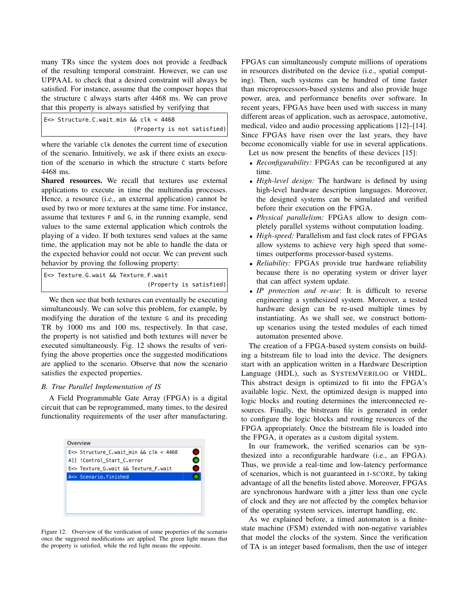many TRs since the system does not provide a feedback of the resulting temporal constraint. However, we can use UPPAAL to check that a desired constraint will always be satisfied. For instance, assume that the composer hopes that the structure C always starts after 4468 ms. We can prove that this property is always satisfied by verifying that

|  | E<> Structure_C.wait_min && clk < 4468 |                             |  |  |
|--|----------------------------------------|-----------------------------|--|--|
|  |                                        | (Property is not satisfied) |  |  |

where the variable clk denotes the current time of execution of the scenario. Intuitively, we ask if there exists an execution of the scenario in which the structure C starts before 4468 ms.

Shared resources. We recall that textures use external applications to execute in time the multimedia processes. Hence, a resource (i.e., an external application) cannot be used by two or more textures at the same time. For instance, assume that textures F and G, in the running example, send values to the same external application which controls the playing of a video. If both textures send values at the same time, the application may not be able to handle the data or the expected behavior could not occur. We can prevent such behavior by proving the following property:

| E<> Texture_G.wait && Texture_F.wait |  |                         |
|--------------------------------------|--|-------------------------|
|                                      |  | (Property is satisfied) |

We then see that both textures can eventually be executing simultaneously. We can solve this problem, for example, by modifying the duration of the texture G and its preceding TR by 1000 ms and 100 ms, respectively. In that case, the property is not satisfied and both textures will never be executed simultaneously. Fig. 12 shows the results of verifying the above properties once the suggested modifications are applied to the scenario. Observe that now the scenario satisfies the expected properties.

#### *B. True Parallel Implementation of IS*

A Field Programmable Gate Array (FPGA) is a digital circuit that can be reprogrammed, many times, to the desired functionality requirements of the user after manufacturing.



Figure 12. Overview of the verification of some properties of the scenario once the suggested modifications are applied. The green light means that the property is satisfied, while the red light means the opposite.

FPGAS can simultaneously compute millions of operations in resources distributed on the device (i.e., spatial computing). Then, such systems can be hundred of time faster than microprocessors-based systems and also provide huge power, area, and performance benefits over software. In recent years, FPGAS have been used with success in many different areas of application, such as aerospace, automotive, medical, video and audio processing applications [12]–[14]. Since FPGAS have risen over the last years, they have become economically viable for use in several applications.

Let us now present the benefits of these devices [15]:

- *Reconfigurability:* FPGAS can be reconfigured at any time.
- *High-level design:* The hardware is defined by using high-level hardware description languages. Moreover, the designed systems can be simulated and verified before their execution on the FPGA.
- *Physical parallelism:* FPGAS allow to design completely parallel systems without computation loading.
- *High-speed:* Parallelism and fast clock rates of FPGAS allow systems to achieve very high speed that sometimes outperforms processor-based systems.
- *Reliability:* FPGAS provide true hardware reliability because there is no operating system or driver layer that can affect system update.
- *IP protection and re-use*: It is difficult to reverse engineering a synthesized system. Moreover, a tested hardware design can be re-used multiple times by instantiating. As we shall see, we construct bottomup scenarios using the tested modules of each timed automaton presented above.

The creation of a FPGA-based system consists on building a bitstream file to load into the device. The designers start with an application written in a Hardware Description Language (HDL), such as SYSTEMVERILOG or VHDL. This abstract design is optimized to fit into the FPGA's available logic. Next, the optimized design is mapped into logic blocks and routing determines the interconnected resources. Finally, the bitstream file is generated in order to configure the logic blocks and routing resources of the FPGA appropriately. Once the bitstream file is loaded into the FPGA, it operates as a custom digital system.

In our framework, the verified scenarios can be synthesized into a reconfigurable hardware (i.e., an FPGA). Thus, we provide a real-time and low-latency performance of scenarios, which is not guaranteed in I-SCORE, by taking advantage of all the benefits listed above. Moreover, FPGAS are synchronous hardware with a jitter less than one cycle of clock and they are not affected by the complex behavior of the operating system services, interrupt handling, etc.

As we explained before, a timed automaton is a finitestate machine (FSM) extended with non-negative variables that model the clocks of the system. Since the verification of TA is an integer based formalism, then the use of integer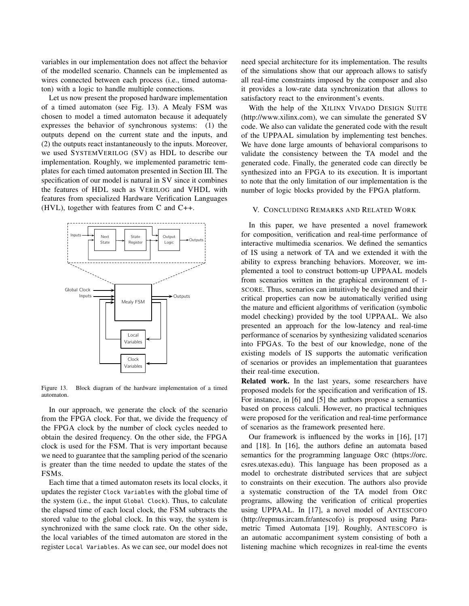variables in our implementation does not affect the behavior of the modelled scenario. Channels can be implemented as wires connected between each process (i.e., timed automaton) with a logic to handle multiple connections.

Let us now present the proposed hardware implementation of a timed automaton (see Fig. 13). A Mealy FSM was chosen to model a timed automaton because it adequately expresses the behavior of synchronous systems: (1) the outputs depend on the current state and the inputs, and (2) the outputs react instantaneously to the inputs. Moreover, we used SYSTEMVERILOG (SV) as HDL to describe our implementation. Roughly, we implemented parametric templates for each timed automaton presented in Section III. The specification of our model is natural in SV since it combines the features of HDL such as VERILOG and VHDL with features from specialized Hardware Verification Languages (HVL), together with features from C and C++.



Figure 13. Block diagram of the hardware implementation of a timed automaton.

In our approach, we generate the clock of the scenario from the FPGA clock. For that, we divide the frequency of the FPGA clock by the number of clock cycles needed to obtain the desired frequency. On the other side, the FPGA clock is used for the FSM. That is very important because we need to guarantee that the sampling period of the scenario is greater than the time needed to update the states of the FSMS.

Each time that a timed automaton resets its local clocks, it updates the register Clock Variables with the global time of the system (i.e., the input Global Clock). Thus, to calculate the elapsed time of each local clock, the FSM subtracts the stored value to the global clock. In this way, the system is synchronized with the same clock rate. On the other side, the local variables of the timed automaton are stored in the register Local Variables. As we can see, our model does not need special architecture for its implementation. The results of the simulations show that our approach allows to satisfy all real-time constraints imposed by the composer and also it provides a low-rate data synchronization that allows to satisfactory react to the environment's events.

With the help of the XILINX VIVADO DESIGN SUITE (http://www.xilinx.com), we can simulate the generated SV code. We also can validate the generated code with the result of the UPPAAL simulation by implementing test benches. We have done large amounts of behavioral comparisons to validate the consistency between the TA model and the generated code. Finally, the generated code can directly be synthesized into an FPGA to its execution. It is important to note that the only limitation of our implementation is the number of logic blocks provided by the FPGA platform.

#### V. CONCLUDING REMARKS AND RELATED WORK

In this paper, we have presented a novel framework for composition, verification and real-time performance of interactive multimedia scenarios. We defined the semantics of IS using a network of TA and we extended it with the ability to express branching behaviors. Moreover, we implemented a tool to construct bottom-up UPPAAL models from scenarios written in the graphical environment of I-SCORE. Thus, scenarios can intuitively be designed and their critical properties can now be automatically verified using the mature and efficient algorithms of verification (symbolic model checking) provided by the tool UPPAAL. We also presented an approach for the low-latency and real-time performance of scenarios by synthesizing validated scenarios into FPGAS. To the best of our knowledge, none of the existing models of IS supports the automatic verification of scenarios or provides an implementation that guarantees their real-time execution.

Related work. In the last years, some researchers have proposed models for the specification and verification of IS. For instance, in [6] and [5] the authors propose a semantics based on process calculi. However, no practical techniques were proposed for the verification and real-time performance of scenarios as the framework presented here.

Our framework is influenced by the works in [16], [17] and [18]. In [16], the authors define an automata based semantics for the programming language ORC (https://orc. csres.utexas.edu). This language has been proposed as a model to orchestrate distributed services that are subject to constraints on their execution. The authors also provide a systematic construction of the TA model from ORC programs, allowing the verification of critical properties using UPPAAL. In [17], a novel model of ANTESCOFO (http://repmus.ircam.fr/antescofo) is proposed using Parametric Timed Automata [19]. Roughly, ANTESCOFO is an automatic accompaniment system consisting of both a listening machine which recognizes in real-time the events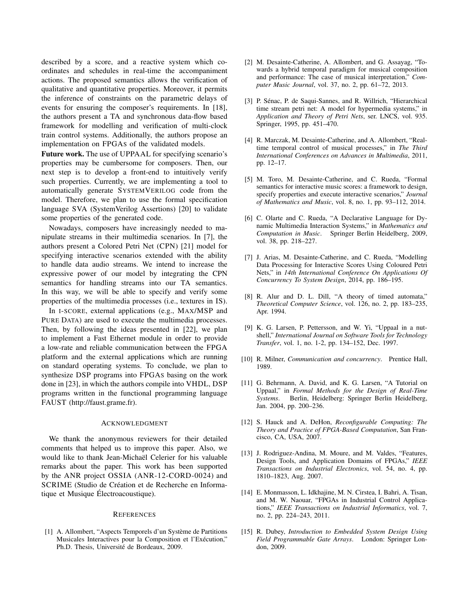described by a score, and a reactive system which coordinates and schedules in real-time the accompaniment actions. The proposed semantics allows the verification of qualitative and quantitative properties. Moreover, it permits the inference of constraints on the parametric delays of events for ensuring the composer's requirements. In [18], the authors present a TA and synchronous data-flow based framework for modelling and verification of multi-clock train control systems. Additionally, the authors propose an implementation on FPGAS of the validated models.

Future work. The use of UPPAAL for specifying scenario's properties may be cumbersome for composers. Then, our next step is to develop a front-end to intuitively verify such properties. Currently, we are implementing a tool to automatically generate SYSTEMVERILOG code from the model. Therefore, we plan to use the formal specification language SVA (SystemVerilog Assertions) [20] to validate some properties of the generated code.

Nowadays, composers have increasingly needed to manipulate streams in their multimedia scenarios. In [7], the authors present a Colored Petri Net (CPN) [21] model for specifying interactive scenarios extended with the ability to handle data audio streams. We intend to increase the expressive power of our model by integrating the CPN semantics for handling streams into our TA semantics. In this way, we will be able to specify and verify some properties of the multimedia processes (i.e., textures in IS).

In I-SCORE, external applications (e.g., MAX/MSP and PURE DATA) are used to execute the multimedia processes. Then, by following the ideas presented in [22], we plan to implement a Fast Ethernet module in order to provide a low-rate and reliable communication between the FPGA platform and the external applications which are running on standard operating systems. To conclude, we plan to synthesize DSP programs into FPGAS basing on the work done in [23], in which the authors compile into VHDL, DSP programs written in the functional programming language FAUST (http://faust.grame.fr).

#### ACKNOWLEDGMENT

We thank the anonymous reviewers for their detailed comments that helped us to improve this paper. Also, we would like to thank Jean-Michaël Celerier for his valuable remarks about the paper. This work has been supported by the ANR project OSSIA (ANR-12-CORD-0024) and SCRIME (Studio de Création et de Recherche en Informatique et Musique Électroacoustique).

#### **REFERENCES**

[1] A. Allombert, "Aspects Temporels d'un Système de Partitions Musicales Interactives pour la Composition et l'Exécution," Ph.D. Thesis, Université de Bordeaux, 2009.

- [2] M. Desainte-Catherine, A. Allombert, and G. Assayag, "Towards a hybrid temporal paradigm for musical composition and performance: The case of musical interpretation," *Computer Music Journal*, vol. 37, no. 2, pp. 61–72, 2013.
- [3] P. Sénac, P. de Saqui-Sannes, and R. Willrich, "Hierarchical time stream petri net: A model for hypermedia systems," in *Application and Theory of Petri Nets*, ser. LNCS, vol. 935. Springer, 1995, pp. 451–470.
- [4] R. Marczak, M. Desainte-Catherine, and A. Allombert, "Realtime temporal control of musical processes," in *The Third International Conferences on Advances in Multimedia*, 2011, pp. 12–17.
- [5] M. Toro, M. Desainte-Catherine, and C. Rueda, "Formal semantics for interactive music scores: a framework to design, specify properties and execute interactive scenarios," *Journal of Mathematics and Music*, vol. 8, no. 1, pp. 93–112, 2014.
- [6] C. Olarte and C. Rueda, "A Declarative Language for Dynamic Multimedia Interaction Systems," in *Mathematics and Computation in Music*. Springer Berlin Heidelberg, 2009, vol. 38, pp. 218–227.
- [7] J. Arias, M. Desainte-Catherine, and C. Rueda, "Modelling Data Processing for Interactive Scores Using Coloured Petri Nets," in *14th International Conference On Applications Of Concurrency To System Design*, 2014, pp. 186–195.
- [8] R. Alur and D. L. Dill, "A theory of timed automata," *Theoretical Computer Science*, vol. 126, no. 2, pp. 183–235, Apr. 1994.
- [9] K. G. Larsen, P. Pettersson, and W. Yi, "Uppaal in a nutshell," *International Journal on Software Tools for Technology Transfer*, vol. 1, no. 1-2, pp. 134–152, Dec. 1997.
- [10] R. Milner, *Communication and concurrency*. Prentice Hall, 1989.
- [11] G. Behrmann, A. David, and K. G. Larsen, "A Tutorial on Uppaal," in *Formal Methods for the Design of Real-Time Systems*. Berlin, Heidelberg: Springer Berlin Heidelberg, Jan. 2004, pp. 200–236.
- [12] S. Hauck and A. DeHon, *Reconfigurable Computing: The Theory and Practice of FPGA-Based Computation*, San Francisco, CA, USA, 2007.
- [13] J. Rodriguez-Andina, M. Moure, and M. Valdes, "Features, Design Tools, and Application Domains of FPGAs," *IEEE Transactions on Industrial Electronics*, vol. 54, no. 4, pp. 1810–1823, Aug. 2007.
- [14] E. Monmasson, L. Idkhajine, M. N. Cirstea, I. Bahri, A. Tisan, and M. W. Naouar, "FPGAs in Industrial Control Applications," *IEEE Transactions on Industrial Informatics*, vol. 7, no. 2, pp. 224–243, 2011.
- [15] R. Dubey, *Introduction to Embedded System Design Using Field Programmable Gate Arrays*. London: Springer London, 2009.